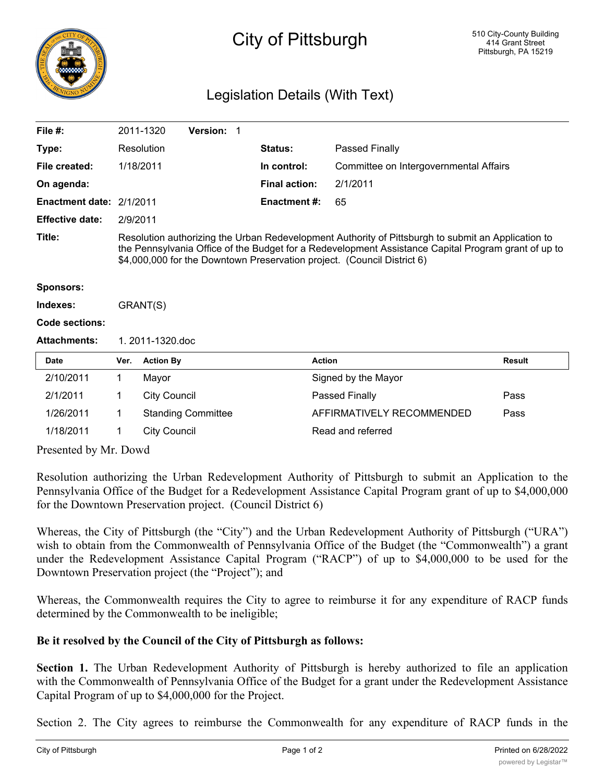

## City of Pittsburgh

## Legislation Details (With Text)

| File $#$ :               |                                                                                                                                                                                                                                                                                      | 2011-1320           | <b>Version: 1</b>         |  |                      |                                        |               |
|--------------------------|--------------------------------------------------------------------------------------------------------------------------------------------------------------------------------------------------------------------------------------------------------------------------------------|---------------------|---------------------------|--|----------------------|----------------------------------------|---------------|
| Type:                    |                                                                                                                                                                                                                                                                                      | Resolution          |                           |  | <b>Status:</b>       | Passed Finally                         |               |
| File created:            |                                                                                                                                                                                                                                                                                      | 1/18/2011           |                           |  | In control:          | Committee on Intergovernmental Affairs |               |
| On agenda:               |                                                                                                                                                                                                                                                                                      |                     |                           |  | <b>Final action:</b> | 2/1/2011                               |               |
| Enactment date: 2/1/2011 |                                                                                                                                                                                                                                                                                      |                     |                           |  | <b>Enactment #:</b>  | 65                                     |               |
| <b>Effective date:</b>   | 2/9/2011                                                                                                                                                                                                                                                                             |                     |                           |  |                      |                                        |               |
| Title:                   | Resolution authorizing the Urban Redevelopment Authority of Pittsburgh to submit an Application to<br>the Pennsylvania Office of the Budget for a Redevelopment Assistance Capital Program grant of up to<br>\$4,000,000 for the Downtown Preservation project. (Council District 6) |                     |                           |  |                      |                                        |               |
| <b>Sponsors:</b>         |                                                                                                                                                                                                                                                                                      |                     |                           |  |                      |                                        |               |
| Indexes:                 | GRANT(S)                                                                                                                                                                                                                                                                             |                     |                           |  |                      |                                        |               |
| Code sections:           |                                                                                                                                                                                                                                                                                      |                     |                           |  |                      |                                        |               |
| <b>Attachments:</b>      | 1.2011-1320.doc                                                                                                                                                                                                                                                                      |                     |                           |  |                      |                                        |               |
| Date                     | Ver.                                                                                                                                                                                                                                                                                 | <b>Action By</b>    |                           |  |                      | <b>Action</b>                          | <b>Result</b> |
| 2/10/2011                | 1                                                                                                                                                                                                                                                                                    | Mayor               |                           |  |                      | Signed by the Mayor                    |               |
| 2/1/2011                 | 1                                                                                                                                                                                                                                                                                    | <b>City Council</b> |                           |  |                      | Passed Finally                         | Pass          |
| 1/26/2011                | 1                                                                                                                                                                                                                                                                                    |                     | <b>Standing Committee</b> |  |                      | AFFIRMATIVELY RECOMMENDED              | Pass          |
| 1/18/2011                | 1                                                                                                                                                                                                                                                                                    | <b>City Council</b> |                           |  |                      | Read and referred                      |               |

Presented by Mr. Dowd

Resolution authorizing the Urban Redevelopment Authority of Pittsburgh to submit an Application to the Pennsylvania Office of the Budget for a Redevelopment Assistance Capital Program grant of up to \$4,000,000 for the Downtown Preservation project. (Council District 6)

Whereas, the City of Pittsburgh (the "City") and the Urban Redevelopment Authority of Pittsburgh ("URA") wish to obtain from the Commonwealth of Pennsylvania Office of the Budget (the "Commonwealth") a grant under the Redevelopment Assistance Capital Program ("RACP") of up to \$4,000,000 to be used for the Downtown Preservation project (the "Project"); and

Whereas, the Commonwealth requires the City to agree to reimburse it for any expenditure of RACP funds determined by the Commonwealth to be ineligible;

## **Be it resolved by the Council of the City of Pittsburgh as follows:**

**Section 1.** The Urban Redevelopment Authority of Pittsburgh is hereby authorized to file an application with the Commonwealth of Pennsylvania Office of the Budget for a grant under the Redevelopment Assistance Capital Program of up to \$4,000,000 for the Project.

Section 2. The City agrees to reimburse the Commonwealth for any expenditure of RACP funds in the